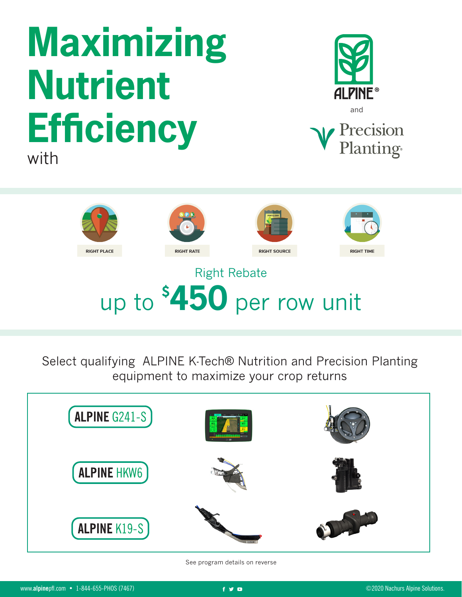## **Maximizing Nutrient Efficiency** with





## up to **\$ 450** per row unit

Select qualifying ALPINE K-Tech® Nutrition and Precision Planting equipment to maximize your crop returns



See program details on reverse